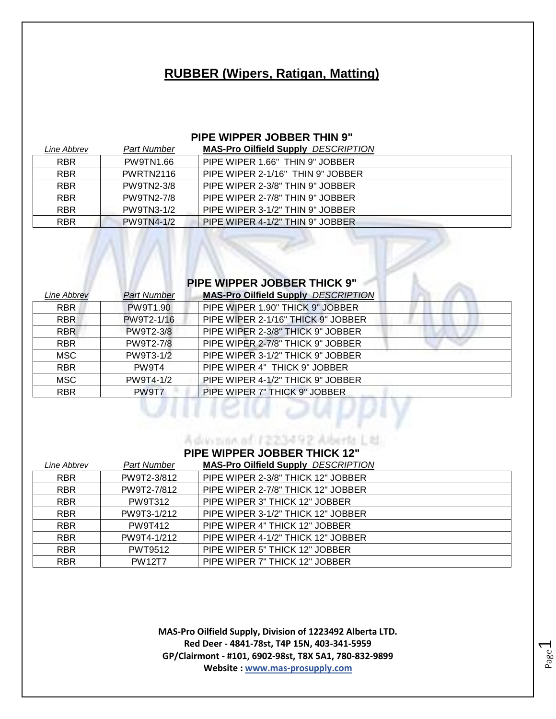## **RUBBER (Wipers, Ratigan, Matting)**

### **PIPE WIPPER JOBBER THIN 9"**

| Line Abbrev | Part Number       | <b>MAS-Pro Oilfield Supply DESCRIPTION</b> |
|-------------|-------------------|--------------------------------------------|
| <b>RBR</b>  | <b>PW9TN1.66</b>  | PIPE WIPER 1.66" THIN 9" JOBBER            |
| <b>RBR</b>  | PWRTN2116         | PIPE WIPER 2-1/16" THIN 9" JOBBER          |
| <b>RBR</b>  | PW9TN2-3/8        | PIPE WIPER 2-3/8" THIN 9" JOBBER           |
| <b>RBR</b>  | PW9TN2-7/8        | PIPE WIPER 2-7/8" THIN 9" JOBBER           |
| <b>RBR</b>  | PW9TN3-1/2        | PIPE WIPER 3-1/2" THIN 9" JOBBER           |
| <b>RBR</b>  | <b>PW9TN4-1/2</b> | PIPE WIPER 4-1/2" THIN 9" JOBBER           |

## **PIPE WIPPER JOBBER THICK 9"**

| Line Abbrev | <b>Part Number</b> | <b>MAS-Pro Oilfield Supply DESCRIPTION</b> |
|-------------|--------------------|--------------------------------------------|
| RBR         | <b>PW9T1.90</b>    | PIPE WIPER 1.90" THICK 9" JOBBER           |
| <b>RBR</b>  | PW9T2-1/16         | PIPE WIPER 2-1/16" THICK 9" JOBBER         |
| RBR         | <b>PW9T2-3/8</b>   | PIPE WIPER 2-3/8" THICK 9" JOBBER          |
| RBR         | <b>PW9T2-7/8</b>   | PIPE WIPER 2-7/8" THICK 9" JOBBER          |
| MSC.        | PW9T3-1/2          | PIPE WIPER 3-1/2" THICK 9" JOBBER          |
| <b>RBR</b>  | PW9T4              | PIPE WIPER 4" THICK 9" JOBBER              |
| MSC.        | PW9T4-1/2          | PIPE WIPER 4-1/2" THICK 9" JOBBER          |
| <b>RBR</b>  | PW9T7              | PIPE WIPER 7" THICK 9" JOBBER              |
|             |                    |                                            |
|             |                    |                                            |
|             |                    |                                            |

## A division of 1223492 Alberta Ltd. **PIPE WIPPER JOBBER THICK 12"**

| Line Abbrev | <b>Part Number</b> | <b>MAS-Pro Oilfield Supply DESCRIPTION</b> |
|-------------|--------------------|--------------------------------------------|
| <b>RBR</b>  | PW9T2-3/812        | PIPE WIPER 2-3/8" THICK 12" JOBBER         |
| <b>RBR</b>  | PW9T2-7/812        | PIPE WIPER 2-7/8" THICK 12" JOBBER         |
| <b>RBR</b>  | PW9T312            | PIPE WIPER 3" THICK 12" JOBBER             |
| <b>RBR</b>  | PW9T3-1/212        | PIPE WIPER 3-1/2" THICK 12" JOBBER         |
| <b>RBR</b>  | <b>PW9T412</b>     | PIPE WIPER 4" THICK 12" JOBBER             |
| <b>RBR</b>  | PW9T4-1/212        | PIPE WIPER 4-1/2" THICK 12" JOBBER         |
| <b>RBR</b>  | <b>PWT9512</b>     | PIPE WIPER 5" THICK 12" JOBBER             |
| <b>RBR</b>  | <b>PW12T7</b>      | PIPE WIPER 7" THICK 12" JOBBER             |

**MAS-Pro Oilfield Supply, Division of 1223492 Alberta LTD. Red Deer - 4841-78st, T4P 15N, 403-341-5959 GP/Clairmont - #101, 6902-98st, T8X 5A1, 780-832-9899 Website : www.mas-prosupply.com**

Page  $\overline{\phantom{0}}$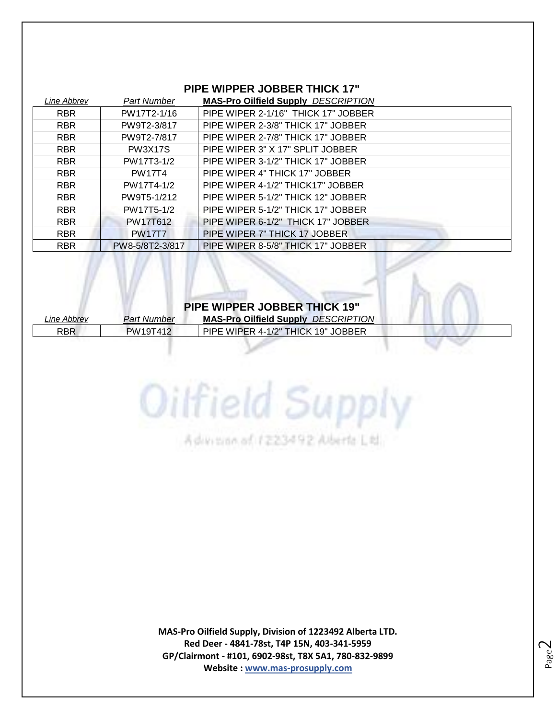## **PIPE WIPPER JOBBER THICK 17"**

| Line Abbrev | <b>Part Number</b> | <b>MAS-Pro Oilfield Supply DESCRIPTION</b> |
|-------------|--------------------|--------------------------------------------|
| <b>RBR</b>  | PW17T2-1/16        | PIPE WIPER 2-1/16" THICK 17" JOBBER        |
| <b>RBR</b>  | PW9T2-3/817        | PIPE WIPER 2-3/8" THICK 17" JOBBER         |
| <b>RBR</b>  | PW9T2-7/817        | PIPE WIPER 2-7/8" THICK 17" JOBBER         |
| <b>RBR</b>  | <b>PW3X17S</b>     | PIPE WIPER 3" X 17" SPLIT JOBBER           |
| <b>RBR</b>  | PW17T3-1/2         | PIPE WIPER 3-1/2" THICK 17" JOBBER         |
| <b>RBR</b>  | <b>PW17T4</b>      | PIPE WIPER 4" THICK 17" JOBBER             |
| <b>RBR</b>  | PW17T4-1/2         | PIPE WIPER 4-1/2" THICK17" JOBBER          |
| <b>RBR</b>  | PW9T5-1/212        | PIPE WIPER 5-1/2" THICK 12" JOBBER         |
| <b>RBR</b>  | PW17T5-1/2         | PIPE WIPER 5-1/2" THICK 17" JOBBER         |
| <b>RBR</b>  | PW17T612           | PIPE WIPER 6-1/2" THICK 17" JOBBER         |
| <b>RBR</b>  | <b>PW17T7</b>      | PIPE WIPER 7" THICK 17 JOBBER              |
| <b>RBR</b>  | PW8-5/8T2-3/817    | PIPE WIPER 8-5/8" THICK 17" JOBBER         |

#### **PIPE WIPPER JOBBER THICK 19"**

Oilfield Supply

Advision of 1223492 Alberta Ltd.

*Line Abbrev Part Number* **MAS-Pro Oilfield Supply** *DESCRIPTION* RBR PW19T412 PIPE WIPER 4-1/2" THICK 19" JOBBER

> **MAS-Pro Oilfield Supply, Division of 1223492 Alberta LTD. Red Deer - 4841-78st, T4P 15N, 403-341-5959 GP/Clairmont - #101, 6902-98st, T8X 5A1, 780-832-9899 Website : www.mas-prosupply.com**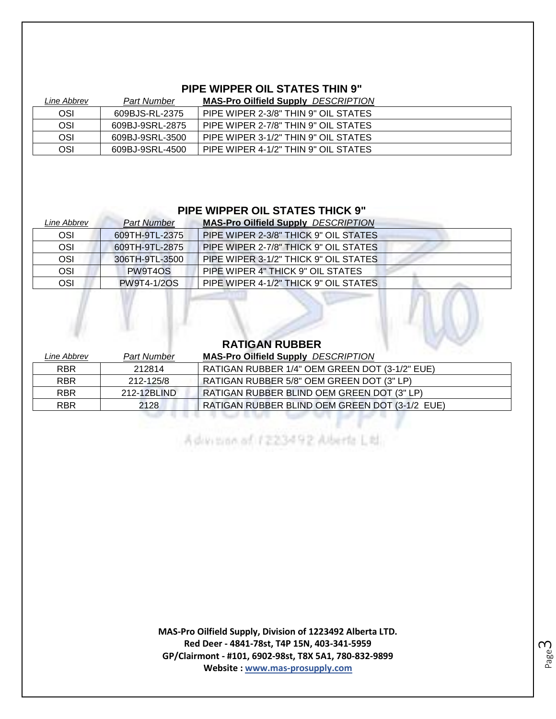## **PIPE WIPPER OIL STATES THIN 9"**

| Line Abbrev | <b>Part Number</b> | <b>MAS-Pro Oilfield Supply DESCRIPTION</b> |
|-------------|--------------------|--------------------------------------------|
| OSI         | 609BJS-RL-2375     | PIPE WIPER 2-3/8" THIN 9" OIL STATES       |
| OSI         | 609BJ-9SRL-2875    | PIPE WIPER 2-7/8" THIN 9" OIL STATES       |
| OSI         | 609BJ-9SRL-3500    | PIPE WIPER 3-1/2" THIN 9" OIL STATES       |
| OSI         | 609BJ-9SRL-4500    | PIPE WIPER 4-1/2" THIN 9" OIL STATES       |

## **PIPE WIPPER OIL STATES THICK 9"**

| <b>Part Number</b> | <b>MAS-Pro Oilfield Supply DESCRIPTION</b> |
|--------------------|--------------------------------------------|
| 609TH-9TL-2375     | PIPE WIPER 2-3/8" THICK 9" OIL STATES      |
| 609TH-9TL-2875     | PIPE WIPER 2-7/8" THICK 9" OIL STATES      |
| 306TH-9TL-3500     | PIPE WIPER 3-1/2" THICK 9" OIL STATES      |
| PW9T4OS            | PIPE WIPER 4" THICK 9" OIL STATES          |
| PW9T4-1/2OS        | PIPE WIPER 4-1/2" THICK 9" OIL STATES      |
|                    |                                            |

#### **RATIGAN RUBBER**

 $\mathbb{R}^d$ 

| Line Abbrev | <b>Part Number</b> | <b>MAS-Pro Oilfield Supply DESCRIPTION</b>     |
|-------------|--------------------|------------------------------------------------|
| <b>RBR</b>  | 212814             | RATIGAN RUBBER 1/4" OEM GREEN DOT (3-1/2" EUE) |
| <b>RBR</b>  | 212-125/8          | RATIGAN RUBBER 5/8" OEM GREEN DOT (3" LP)      |
| <b>RBR</b>  | 212-12BLIND        | RATIGAN RUBBER BLIND OEM GREEN DOT (3" LP)     |
| <b>RBR</b>  | 2128               | RATIGAN RUBBER BLIND OEM GREEN DOT (3-1/2 EUE) |
|             |                    |                                                |
|             |                    |                                                |

Advision of 1223492 Alberta Ltd.

**MAS-Pro Oilfield Supply, Division of 1223492 Alberta LTD. Red Deer - 4841-78st, T4P 15N, 403-341-5959 GP/Clairmont - #101, 6902-98st, T8X 5A1, 780-832-9899 Website : www.mas-prosupply.com**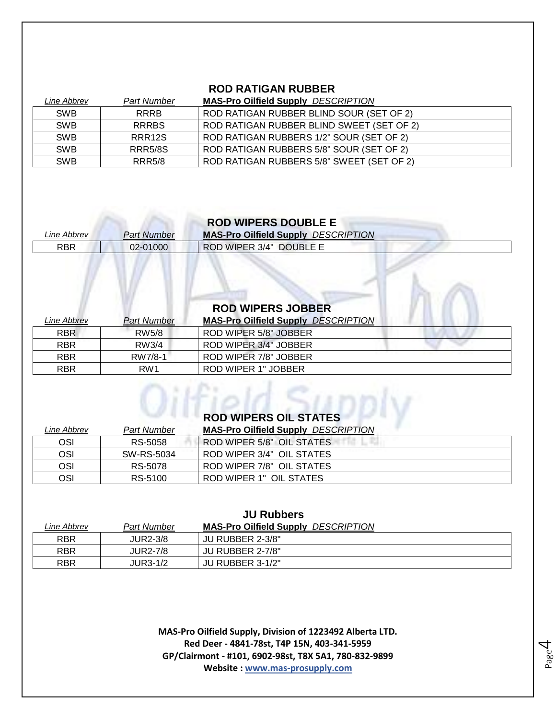## **ROD RATIGAN RUBBER**

| Line Abbrev | <b>Part Number</b> | <b>MAS-Pro Oilfield Supply DESCRIPTION</b> |
|-------------|--------------------|--------------------------------------------|
| <b>SWB</b>  | <b>RRRB</b>        | ROD RATIGAN RUBBER BLIND SOUR (SET OF 2)   |
| <b>SWB</b>  | <b>RRRBS</b>       | ROD RATIGAN RUBBER BLIND SWEET (SET OF 2)  |
| <b>SWB</b>  | RRR <sub>12S</sub> | ROD RATIGAN RUBBERS 1/2" SOUR (SET OF 2)   |
| <b>SWB</b>  | <b>RRR5/8S</b>     | ROD RATIGAN RUBBERS 5/8" SOUR (SET OF 2)   |
| <b>SWB</b>  | <b>RRR5/8</b>      | ROD RATIGAN RUBBERS 5/8" SWEET (SET OF 2)  |

| <b>ROD WIPERS DOUBLE E</b> |             |                                            |  |
|----------------------------|-------------|--------------------------------------------|--|
| Line Abbrev                | Part Number | <b>MAS-Pro Oilfield Supply DESCRIPTION</b> |  |
| <b>RBR</b>                 | 02-01000    | ROD WIPER 3/4" DOUBLE E                    |  |
|                            |             |                                            |  |

LA

| <b>ROD WIPERS JOBBER</b> |                    |                                            |  |
|--------------------------|--------------------|--------------------------------------------|--|
| Line Abbrev              | <b>Part Number</b> | <b>MAS-Pro Oilfield Supply DESCRIPTION</b> |  |
| <b>RBR</b>               | RW5/8              | ROD WIPER 5/8" JOBBER                      |  |
| <b>RBR</b>               | RW3/4              | ROD WIPER 3/4" JOBBER                      |  |
| <b>RBR</b>               | RW7/8-1            | ROD WIPER 7/8" JOBBER                      |  |
| <b>RBR</b>               | RW <sub>1</sub>    | ROD WIPER 1" JOBBER                        |  |

|             |                    | <b>ROD WIPERS OIL STATES</b>               |  |
|-------------|--------------------|--------------------------------------------|--|
| Line Abbrev | <b>Part Number</b> | <b>MAS-Pro Oilfield Supply DESCRIPTION</b> |  |
| OSI         | RS-5058            | ROD WIPER 5/8" OIL STATES                  |  |
| OSI         | SW-RS-5034         | ROD WIPER 3/4" OIL STATES                  |  |
| OSI         | RS-5078            | ROD WIPER 7/8" OIL STATES                  |  |
| OSI         | RS-5100            | ROD WIPER 1" OIL STATES                    |  |

| <b>JU RUDDEIS</b> |                    |                                            |  |
|-------------------|--------------------|--------------------------------------------|--|
| Line Abbrev       | <b>Part Number</b> | <b>MAS-Pro Oilfield Supply DESCRIPTION</b> |  |
| <b>RBR</b>        | <b>JUR2-3/8</b>    | JU RUBBER 2-3/8"                           |  |
| <b>RBR</b>        | <b>JUR2-7/8</b>    | JU RUBBER 2-7/8"                           |  |
| <b>RBR</b>        | JUR3-1/2           | JU RUBBER 3-1/2"                           |  |
|                   |                    |                                            |  |

**JU Rubbers**

**MAS-Pro Oilfield Supply, Division of 1223492 Alberta LTD. Red Deer - 4841-78st, T4P 15N, 403-341-5959 GP/Clairmont - #101, 6902-98st, T8X 5A1, 780-832-9899 Website : www.mas-prosupply.com**

Page 4